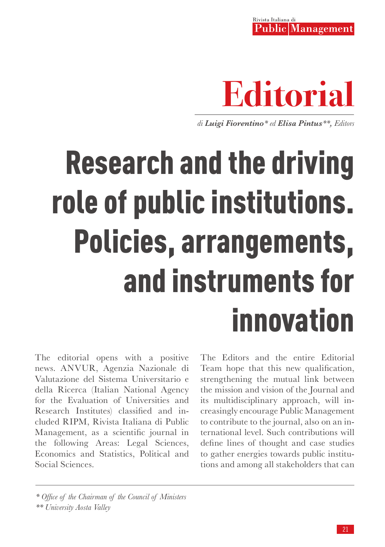Rivista Italiana di **Public Management** 



*di Luigi Fiorentino\* ed Elisa Pintus\*\*, Editors*

## Research and the driving role of public institutions. Policies, arrangements, and instruments for innovation

The editorial opens with a positive news. ANVUR, Agenzia Nazionale di Valutazione del Sistema Universitario e della Ricerca (Italian National Agency for the Evaluation of Universities and Research Institutes) classified and included RIPM, Rivista Italiana di Public Management, as a scientific journal in the following Areas: Legal Sciences, Economics and Statistics, Political and Social Sciences.

The Editors and the entire Editorial Team hope that this new qualification, strengthening the mutual link between the mission and vision of the Journal and its multidisciplinary approach, will increasingly encourage Public Management to contribute to the journal, also on an international level. Such contributions will define lines of thought and case studies to gather energies towards public institutions and among all stakeholders that can

*<sup>\*</sup> Office of the Chairman of the Council of Ministers* 

*<sup>\*\*</sup> University Aosta Valley*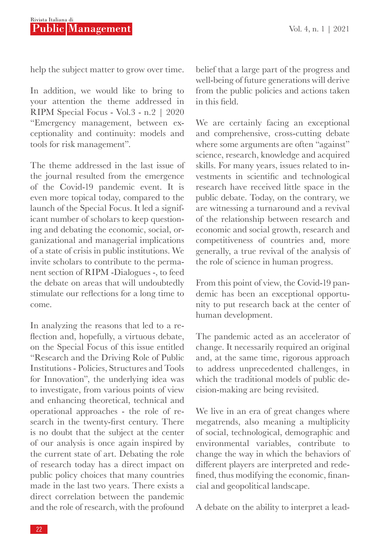help the subject matter to grow over time.

In addition, we would like to bring to your attention the theme addressed in RIPM Special Focus - Vol.3 - n.2 | 2020 "Emergency management, between exceptionality and continuity: models and tools for risk management".

The theme addressed in the last issue of the journal resulted from the emergence of the Covid-19 pandemic event. It is even more topical today, compared to the launch of the Special Focus. It led a significant number of scholars to keep questioning and debating the economic, social, organizational and managerial implications of a state of crisis in public institutions. We invite scholars to contribute to the permanent section of RIPM -Dialogues -, to feed the debate on areas that will undoubtedly stimulate our reflections for a long time to come.

In analyzing the reasons that led to a reflection and, hopefully, a virtuous debate, on the Special Focus of this issue entitled "Research and the Driving Role of Public Institutions - Policies, Structures and Tools for Innovation", the underlying idea was to investigate, from various points of view and enhancing theoretical, technical and operational approaches - the role of research in the twenty-first century. There is no doubt that the subject at the center of our analysis is once again inspired by the current state of art. Debating the role of research today has a direct impact on public policy choices that many countries made in the last two years. There exists a direct correlation between the pandemic and the role of research, with the profound belief that a large part of the progress and well-being of future generations will derive from the public policies and actions taken in this field.

We are certainly facing an exceptional and comprehensive, cross-cutting debate where some arguments are often "against" science, research, knowledge and acquired skills. For many years, issues related to investments in scientific and technological research have received little space in the public debate. Today, on the contrary, we are witnessing a turnaround and a revival of the relationship between research and economic and social growth, research and competitiveness of countries and, more generally, a true revival of the analysis of the role of science in human progress.

From this point of view, the Covid-19 pandemic has been an exceptional opportunity to put research back at the center of human development.

The pandemic acted as an accelerator of change. It necessarily required an original and, at the same time, rigorous approach to address unprecedented challenges, in which the traditional models of public decision-making are being revisited.

We live in an era of great changes where megatrends, also meaning a multiplicity of social, technological, demographic and environmental variables, contribute to change the way in which the behaviors of different players are interpreted and redefined, thus modifying the economic, financial and geopolitical landscape.

A debate on the ability to interpret a lead-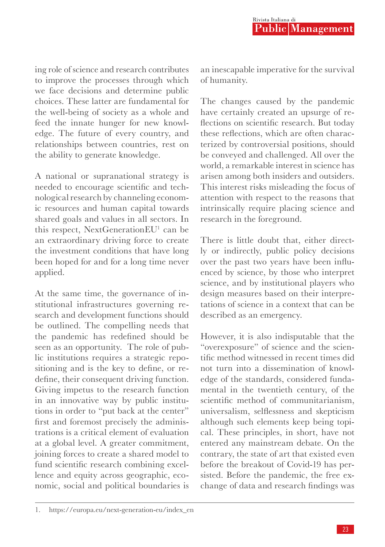ing role of science and research contributes to improve the processes through which we face decisions and determine public choices. These latter are fundamental for the well-being of society as a whole and feed the innate hunger for new knowledge. The future of every country, and relationships between countries, rest on the ability to generate knowledge.

A national or supranational strategy is needed to encourage scientific and technological research by channeling economic resources and human capital towards shared goals and values in all sectors. In this respect, NextGenerationEU1 can be an extraordinary driving force to create the investment conditions that have long been hoped for and for a long time never applied.

At the same time, the governance of institutional infrastructures governing research and development functions should be outlined. The compelling needs that the pandemic has redefined should be seen as an opportunity. The role of public institutions requires a strategic repositioning and is the key to define, or redefine, their consequent driving function. Giving impetus to the research function in an innovative way by public institutions in order to "put back at the center" first and foremost precisely the administrations is a critical element of evaluation at a global level. A greater commitment, joining forces to create a shared model to fund scientific research combining excellence and equity across geographic, economic, social and political boundaries is an inescapable imperative for the survival of humanity.

The changes caused by the pandemic have certainly created an upsurge of reflections on scientific research. But today these reflections, which are often characterized by controversial positions, should be conveyed and challenged. All over the world, a remarkable interest in science has arisen among both insiders and outsiders. This interest risks misleading the focus of attention with respect to the reasons that intrinsically require placing science and research in the foreground.

There is little doubt that, either directly or indirectly, public policy decisions over the past two years have been influenced by science, by those who interpret science, and by institutional players who design measures based on their interpretations of science in a context that can be described as an emergency.

However, it is also indisputable that the "overexposure" of science and the scientific method witnessed in recent times did not turn into a dissemination of knowledge of the standards, considered fundamental in the twentieth century, of the scientific method of communitarianism, universalism, selflessness and skepticism although such elements keep being topical. These principles, in short, have not entered any mainstream debate. On the contrary, the state of art that existed even before the breakout of Covid-19 has persisted. Before the pandemic, the free exchange of data and research findings was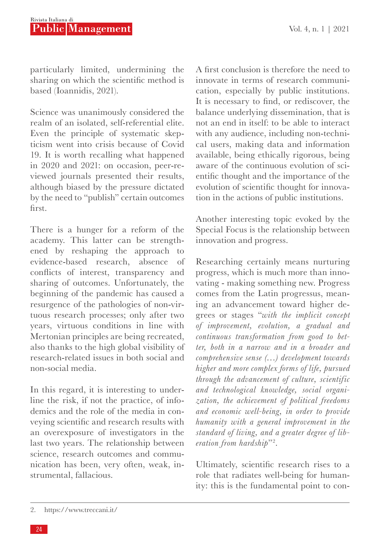particularly limited, undermining the sharing on which the scientific method is based (Ioannidis, 2021).

Science was unanimously considered the realm of an isolated, self-referential elite. Even the principle of systematic skepticism went into crisis because of Covid 19. It is worth recalling what happened in 2020 and 2021: on occasion, peer-reviewed journals presented their results, although biased by the pressure dictated by the need to "publish" certain outcomes first.

There is a hunger for a reform of the academy. This latter can be strengthened by reshaping the approach to evidence-based research, absence of conflicts of interest, transparency and sharing of outcomes. Unfortunately, the beginning of the pandemic has caused a resurgence of the pathologies of non-virtuous research processes; only after two years, virtuous conditions in line with Mertonian principles are being recreated, also thanks to the high global visibility of research-related issues in both social and non-social media.

In this regard, it is interesting to underline the risk, if not the practice, of infodemics and the role of the media in conveying scientific and research results with an overexposure of investigators in the last two years. The relationship between science, research outcomes and communication has been, very often, weak, instrumental, fallacious.

A first conclusion is therefore the need to innovate in terms of research communication, especially by public institutions. It is necessary to find, or rediscover, the balance underlying dissemination, that is not an end in itself: to be able to interact with any audience, including non-technical users, making data and information available, being ethically rigorous, being aware of the continuous evolution of scientific thought and the importance of the evolution of scientific thought for innovation in the actions of public institutions.

Another interesting topic evoked by the Special Focus is the relationship between innovation and progress.

Researching certainly means nurturing progress, which is much more than innovating - making something new. Progress comes from the Latin progressus, meaning an advancement toward higher degrees or stages "*with the implicit concept of improvement, evolution, a gradual and continuous transformation from good to better, both in a narrow and in a broader and comprehensive sense (…) development towards higher and more complex forms of life, pursued through the advancement of culture, scientific and technological knowledge, social organization, the achievement of political freedoms and economic well-being, in order to provide humanity with a general improvement in the standard of living, and a greater degree of liberation from hardship*"2 .

Ultimately, scientific research rises to a role that radiates well-being for humanity: this is the fundamental point to con-

<sup>2.</sup> https://www.treccani.it/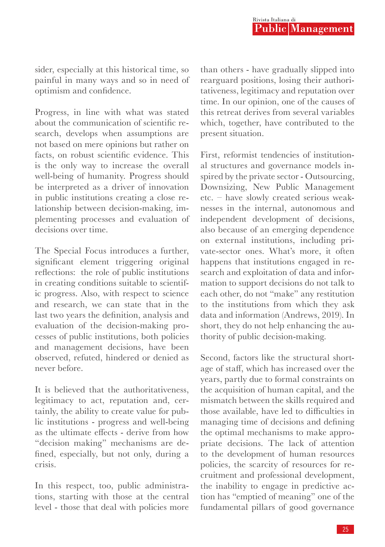sider, especially at this historical time, so painful in many ways and so in need of optimism and confidence.

Progress, in line with what was stated about the communication of scientific research, develops when assumptions are not based on mere opinions but rather on facts, on robust scientific evidence. This is the only way to increase the overall well-being of humanity. Progress should be interpreted as a driver of innovation in public institutions creating a close relationship between decision-making, implementing processes and evaluation of decisions over time.

The Special Focus introduces a further, significant element triggering original reflections: the role of public institutions in creating conditions suitable to scientific progress. Also, with respect to science and research, we can state that in the last two years the definition, analysis and evaluation of the decision-making processes of public institutions, both policies and management decisions, have been observed, refuted, hindered or denied as never before.

It is believed that the authoritativeness, legitimacy to act, reputation and, certainly, the ability to create value for public institutions - progress and well-being as the ultimate effects - derive from how "decision making" mechanisms are defined, especially, but not only, during a crisis.

In this respect, too, public administrations, starting with those at the central level - those that deal with policies more than others - have gradually slipped into rearguard positions, losing their authoritativeness, legitimacy and reputation over time. In our opinion, one of the causes of this retreat derives from several variables which, together, have contributed to the present situation.

First, reformist tendencies of institutional structures and governance models inspired by the private sector - Outsourcing, Downsizing, New Public Management etc. – have slowly created serious weaknesses in the internal, autonomous and independent development of decisions, also because of an emerging dependence on external institutions, including private-sector ones. What's more, it often happens that institutions engaged in research and exploitation of data and information to support decisions do not talk to each other, do not "make" any restitution to the institutions from which they ask data and information (Andrews, 2019). In short, they do not help enhancing the authority of public decision-making.

Second, factors like the structural shortage of staff, which has increased over the years, partly due to formal constraints on the acquisition of human capital, and the mismatch between the skills required and those available, have led to difficulties in managing time of decisions and defining the optimal mechanisms to make appropriate decisions. The lack of attention to the development of human resources policies, the scarcity of resources for recruitment and professional development, the inability to engage in predictive action has "emptied of meaning" one of the fundamental pillars of good governance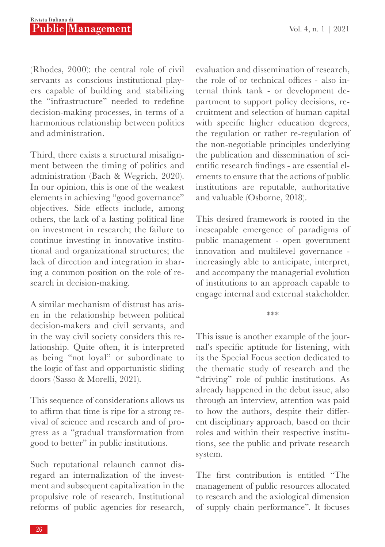(Rhodes, 2000): the central role of civil servants as conscious institutional players capable of building and stabilizing the "infrastructure" needed to redefine decision-making processes, in terms of a harmonious relationship between politics and administration.

Third, there exists a structural misalignment between the timing of politics and administration (Bach & Wegrich, 2020). In our opinion, this is one of the weakest elements in achieving "good governance" objectives. Side effects include, among others, the lack of a lasting political line on investment in research; the failure to continue investing in innovative institutional and organizational structures; the lack of direction and integration in sharing a common position on the role of research in decision-making.

A similar mechanism of distrust has arisen in the relationship between political decision-makers and civil servants, and in the way civil society considers this relationship. Quite often, it is interpreted as being "not loyal" or subordinate to the logic of fast and opportunistic sliding doors (Sasso & Morelli, 2021).

This sequence of considerations allows us to affirm that time is ripe for a strong revival of science and research and of progress as a "gradual transformation from good to better" in public institutions.

Such reputational relaunch cannot disregard an internalization of the investment and subsequent capitalization in the propulsive role of research. Institutional reforms of public agencies for research,

evaluation and dissemination of research, the role of or technical offices - also internal think tank - or development department to support policy decisions, recruitment and selection of human capital with specific higher education degrees, the regulation or rather re-regulation of the non-negotiable principles underlying the publication and dissemination of scientific research findings - are essential elements to ensure that the actions of public institutions are reputable, authoritative and valuable (Osborne, 2018).

This desired framework is rooted in the inescapable emergence of paradigms of public management - open government innovation and multilevel governance increasingly able to anticipate, interpret, and accompany the managerial evolution of institutions to an approach capable to engage internal and external stakeholder.

\*\*\*

This issue is another example of the journal's specific aptitude for listening, with its the Special Focus section dedicated to the thematic study of research and the "driving" role of public institutions. As already happened in the debut issue, also through an interview, attention was paid to how the authors, despite their different disciplinary approach, based on their roles and within their respective institutions, see the public and private research system.

The first contribution is entitled "The management of public resources allocated to research and the axiological dimension of supply chain performance". It focuses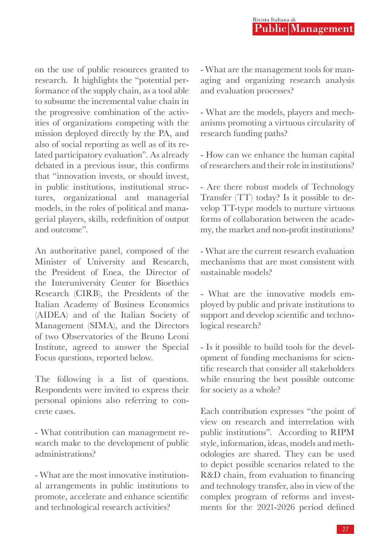on the use of public resources granted to research. It highlights the "potential performance of the supply chain, as a tool able to subsume the incremental value chain in the progressive combination of the activities of organizations competing with the mission deployed directly by the PA, and also of social reporting as well as of its related participatory evaluation". As already debated in a previous issue, this confirms that "innovation invests, or should invest, in public institutions, institutional structures, organizational and managerial models, in the roles of political and managerial players, skills, redefinition of output and outcome".

An authoritative panel, composed of the Minister of University and Research, the President of Enea, the Director of the Interuniversity Center for Bioethics Research (CIRB), the Presidents of the Italian Academy of Business Economics (AIDEA) and of the Italian Society of Management (SIMA), and the Directors of two Observatories of the Bruno Leoni Institute, agreed to answer the Special Focus questions, reported below.

The following is a list of questions. Respondents were invited to express their personal opinions also referring to concrete cases.

- What contribution can management research make to the development of public administrations?

- What are the most innovative institutional arrangements in public institutions to promote, accelerate and enhance scientific and technological research activities?

- What are the management tools for managing and organizing research analysis and evaluation processes?

- What are the models, players and mechanisms promoting a virtuous circularity of research funding paths?

- How can we enhance the human capital of researchers and their role in institutions?

- Are there robust models of Technology Transfer (TT) today? Is it possible to develop TT-type models to nurture virtuous forms of collaboration between the academy, the market and non-profit institutions?

- What are the current research evaluation mechanisms that are most consistent with sustainable models?

- What are the innovative models employed by public and private institutions to support and develop scientific and technological research?

- Is it possible to build tools for the development of funding mechanisms for scientific research that consider all stakeholders while ensuring the best possible outcome for society as a whole?

Each contribution expresses "the point of view on research and interrelation with public institutions". According to RIPM style, information, ideas, models and methodologies are shared. They can be used to depict possible scenarios related to the R&D chain, from evaluation to financing and technology transfer, also in view of the complex program of reforms and investments for the 2021-2026 period defined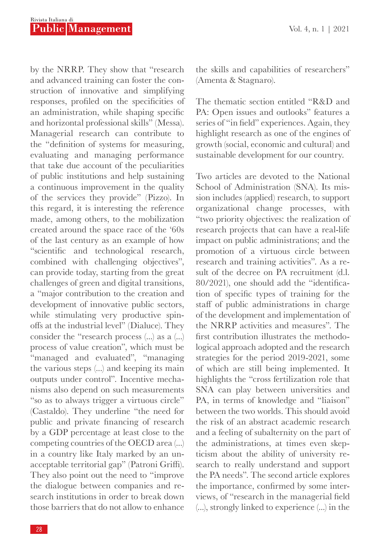by the NRRP. They show that "research and advanced training can foster the construction of innovative and simplifying responses, profiled on the specificities of an administration, while shaping specific and horizontal professional skills" (Messa). Managerial research can contribute to the "definition of systems for measuring, evaluating and managing performance that take due account of the peculiarities of public institutions and help sustaining a continuous improvement in the quality of the services they provide" (Pizzo). In this regard, it is interesting the reference made, among others, to the mobilization created around the space race of the '60s of the last century as an example of how "scientific and technological research, combined with challenging objectives", can provide today, starting from the great challenges of green and digital transitions, a "major contribution to the creation and development of innovative public sectors, while stimulating very productive spinoffs at the industrial level" (Dialuce). They consider the "research process (...) as a (...) process of value creation", which must be "managed and evaluated", "managing the various steps (...) and keeping its main outputs under control". Incentive mechanisms also depend on such measurements "so as to always trigger a virtuous circle" (Castaldo). They underline "the need for public and private financing of research by a GDP percentage at least close to the competing countries of the OECD area (...) in a country like Italy marked by an unacceptable territorial gap" (Patroni Griffi). They also point out the need to "improve the dialogue between companies and research institutions in order to break down those barriers that do not allow to enhance

the skills and capabilities of researchers" (Amenta & Stagnaro).

The thematic section entitled "R&D and PA: Open issues and outlooks" features a series of "in field" experiences. Again, they highlight research as one of the engines of growth (social, economic and cultural) and sustainable development for our country.

Two articles are devoted to the National School of Administration (SNA). Its mission includes (applied) research, to support organizational change processes, with "two priority objectives: the realization of research projects that can have a real-life impact on public administrations; and the promotion of a virtuous circle between research and training activities". As a result of the decree on PA recruitment (d.l. 80/2021), one should add the "identification of specific types of training for the staff of public administrations in charge of the development and implementation of the NRRP activities and measures". The first contribution illustrates the methodological approach adopted and the research strategies for the period 2019-2021, some of which are still being implemented. It highlights the "cross fertilization role that SNA can play between universities and PA, in terms of knowledge and "liaison" between the two worlds. This should avoid the risk of an abstract academic research and a feeling of subalternity on the part of the administrations, at times even skepticism about the ability of university research to really understand and support the PA needs". The second article explores the importance, confirmed by some interviews, of "research in the managerial field (...), strongly linked to experience (...) in the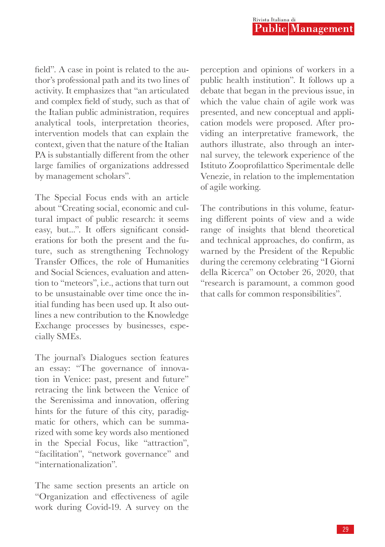field". A case in point is related to the author's professional path and its two lines of activity. It emphasizes that "an articulated and complex field of study, such as that of the Italian public administration, requires analytical tools, interpretation theories, intervention models that can explain the context, given that the nature of the Italian PA is substantially different from the other large families of organizations addressed by management scholars".

The Special Focus ends with an article about "Creating social, economic and cultural impact of public research: it seems easy, but...". It offers significant considerations for both the present and the future, such as strengthening Technology Transfer Offices, the role of Humanities and Social Sciences, evaluation and attention to "meteors", i.e., actions that turn out to be unsustainable over time once the initial funding has been used up. It also outlines a new contribution to the Knowledge Exchange processes by businesses, especially SMEs.

The journal's Dialogues section features an essay: "The governance of innovation in Venice: past, present and future" retracing the link between the Venice of the Serenissima and innovation, offering hints for the future of this city, paradigmatic for others, which can be summarized with some key words also mentioned in the Special Focus, like "attraction", "facilitation", "network governance" and "internationalization".

The same section presents an article on "Organization and effectiveness of agile work during Covid-19. A survey on the perception and opinions of workers in a public health institution". It follows up a debate that began in the previous issue, in which the value chain of agile work was presented, and new conceptual and application models were proposed. After providing an interpretative framework, the authors illustrate, also through an internal survey, the telework experience of the Istituto Zooprofilattico Sperimentale delle Venezie, in relation to the implementation of agile working.

The contributions in this volume, featuring different points of view and a wide range of insights that blend theoretical and technical approaches, do confirm, as warned by the President of the Republic during the ceremony celebrating "I Giorni della Ricerca" on October 26, 2020, that "research is paramount, a common good that calls for common responsibilities".